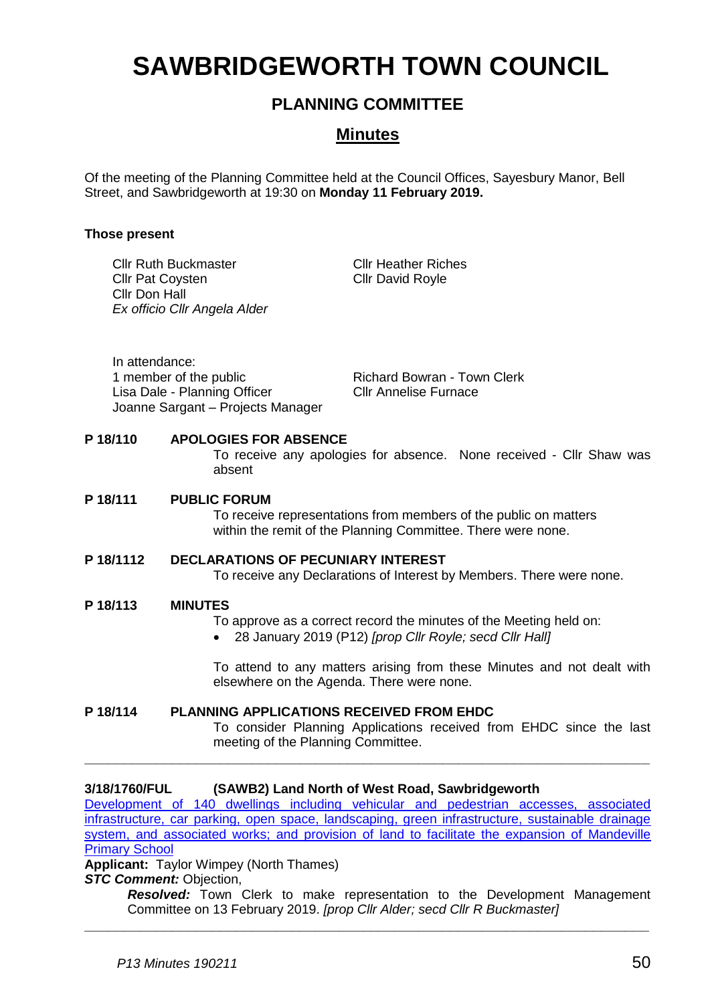# **SAWBRIDGEWORTH TOWN COUNCIL**

# **PLANNING COMMITTEE**

# **Minutes**

Of the meeting of the Planning Committee held at the Council Offices, Sayesbury Manor, Bell Street, and Sawbridgeworth at 19:30 on **Monday 11 February 2019.**

# **Those present**

|           | <b>Cllr Ruth Buckmaster</b><br><b>Cllr Pat Coysten</b><br>Cllr Don Hall                                       |                                                                                                                                                 | Ex officio Cllr Angela Alder                                                                                                                            | <b>Cllr Heather Riches</b><br><b>Cllr David Royle</b> |                                                                        |
|-----------|---------------------------------------------------------------------------------------------------------------|-------------------------------------------------------------------------------------------------------------------------------------------------|---------------------------------------------------------------------------------------------------------------------------------------------------------|-------------------------------------------------------|------------------------------------------------------------------------|
|           | In attendance:<br>1 member of the public<br>Lisa Dale - Planning Officer<br>Joanne Sargant - Projects Manager |                                                                                                                                                 | <b>Richard Bowran - Town Clerk</b><br><b>Cllr Annelise Furnace</b>                                                                                      |                                                       |                                                                        |
| P 18/110  |                                                                                                               |                                                                                                                                                 | <b>APOLOGIES FOR ABSENCE</b><br>To receive any apologies for absence. None received - Cllr Shaw was<br>absent                                           |                                                       |                                                                        |
| P 18/111  |                                                                                                               |                                                                                                                                                 | <b>PUBLIC FORUM</b><br>To receive representations from members of the public on matters<br>within the remit of the Planning Committee. There were none. |                                                       |                                                                        |
| P 18/1112 |                                                                                                               | <b>DECLARATIONS OF PECUNIARY INTEREST</b><br>To receive any Declarations of Interest by Members. There were none.                               |                                                                                                                                                         |                                                       |                                                                        |
| P 18/113  |                                                                                                               | <b>MINUTES</b><br>To approve as a correct record the minutes of the Meeting held on:<br>28 January 2019 (P12) [prop Cllr Royle; secd Cllr Hall] |                                                                                                                                                         |                                                       |                                                                        |
|           |                                                                                                               |                                                                                                                                                 | elsewhere on the Agenda. There were none.                                                                                                               |                                                       | To attend to any matters arising from these Minutes and not dealt with |

#### **P 18/114 PLANNING APPLICATIONS RECEIVED FROM EHDC** To consider Planning Applications received from EHDC since the last meeting of the Planning Committee.

**\_\_\_\_\_\_\_\_\_\_\_\_\_\_\_\_\_\_\_\_\_\_\_\_\_\_\_\_\_\_\_\_\_\_\_\_\_\_\_\_\_\_\_\_\_\_\_\_\_\_\_\_\_\_\_\_\_\_\_\_\_\_\_\_\_\_\_\_\_\_\_**

# **3/18/1760/FUL (SAWB2) Land North of West Road, Sawbridgeworth**

[Development of 140 dwellings including vehicular and pedestrian accesses, associated](https://publicaccess.eastherts.gov.uk/online-applications/applicationDetails.do?keyVal=PCS417GLN4G00&activeTab=summary)  [infrastructure, car parking, open space, landscaping, green infrastructure, sustainable drainage](https://publicaccess.eastherts.gov.uk/online-applications/applicationDetails.do?keyVal=PCS417GLN4G00&activeTab=summary)  system, and associated works; and provision of land to facilitate the expansion of Mandeville [Primary School](https://publicaccess.eastherts.gov.uk/online-applications/applicationDetails.do?keyVal=PCS417GLN4G00&activeTab=summary)

**Applicant:** Taylor Wimpey (North Thames)

**STC Comment: Objection,** 

*Resolved:* Town Clerk to make representation to the Development Management Committee on 13 February 2019. *[prop Cllr Alder; secd Cllr R Buckmaster]* **\_\_\_\_\_\_\_\_\_\_\_\_\_\_\_\_\_\_\_\_\_\_\_\_\_\_\_\_\_\_\_\_\_\_\_\_\_\_\_\_\_\_\_\_\_\_\_\_\_\_\_\_\_\_\_\_\_\_\_\_\_\_\_\_\_\_\_\_\_\_\_**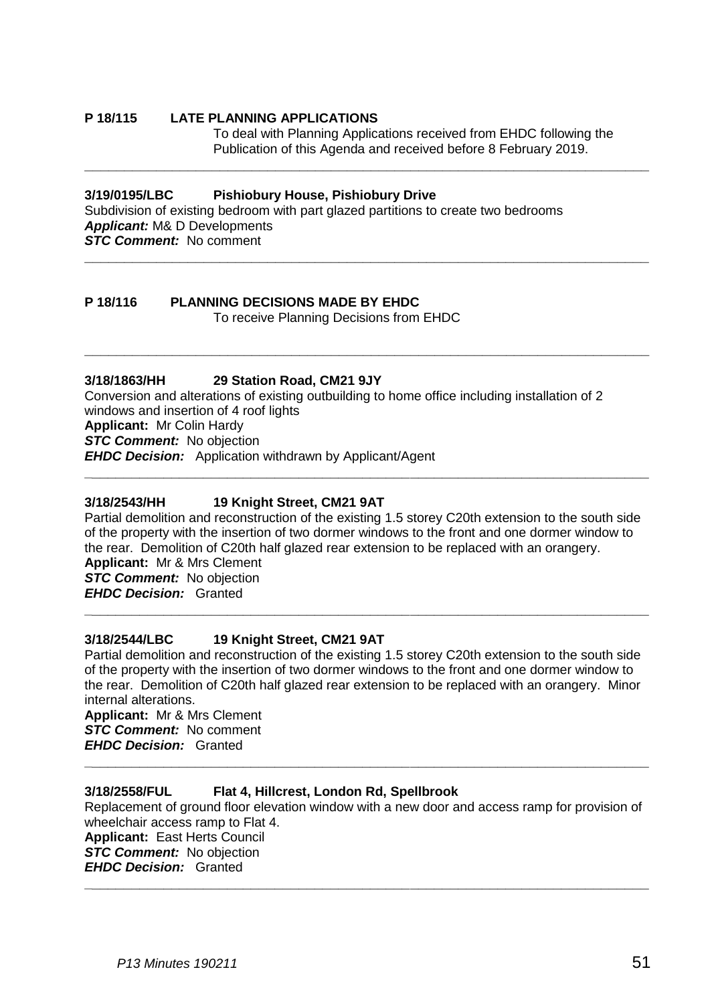#### **P 18/115 LATE PLANNING APPLICATIONS**

To deal with Planning Applications received from EHDC following the Publication of this Agenda and received before 8 February 2019.

**\_\_\_\_\_\_\_\_\_\_\_\_\_\_\_\_\_\_\_\_\_\_\_\_\_\_\_\_\_\_\_\_\_\_\_\_\_\_\_\_\_\_\_\_\_\_\_\_\_\_\_\_\_\_\_\_\_\_\_\_\_\_\_\_\_\_\_\_\_\_\_**

**\_\_\_\_\_\_\_\_\_\_\_\_\_\_\_\_\_\_\_\_\_\_\_\_\_\_\_\_\_\_\_\_\_\_\_\_\_\_\_\_\_\_\_\_\_\_\_\_\_\_\_\_\_\_\_\_\_\_\_\_\_\_\_\_\_\_\_\_\_\_\_**

**\_\_\_\_\_\_\_\_\_\_\_\_\_\_\_\_\_\_\_\_\_\_\_\_\_\_\_\_\_\_\_\_\_\_\_\_\_\_\_\_\_\_\_\_\_\_\_\_\_\_\_\_\_\_\_\_\_\_\_\_\_\_\_\_\_\_\_\_\_\_\_**

#### **3/19/0195/LBC Pishiobury House, Pishiobury Drive**

Subdivision of existing bedroom with part glazed partitions to create two bedrooms *Applicant:* M& D Developments *STC Comment:* No comment

# **P 18/116 PLANNING DECISIONS MADE BY EHDC**

To receive Planning Decisions from EHDC

# **3/18/1863/HH 29 Station Road, CM21 9JY**

Conversion and alterations of existing outbuilding to home office including installation of 2 windows and insertion of 4 roof lights **Applicant:** Mr Colin Hardy **STC Comment:** No objection *EHDC Decision:* Application withdrawn by Applicant/Agent

#### **3/18/2543/HH 19 Knight Street, CM21 9AT**

Partial demolition and reconstruction of the existing 1.5 storey C20th extension to the south side of the property with the insertion of two dormer windows to the front and one dormer window to the rear. Demolition of C20th half glazed rear extension to be replaced with an orangery.

**\_\_\_\_\_\_\_\_\_\_\_\_\_\_\_\_\_\_\_\_\_\_\_\_\_\_\_\_\_\_\_\_\_\_\_\_\_\_\_\_\_\_\_\_\_\_\_\_\_\_\_\_\_\_\_\_\_\_\_\_\_\_\_\_\_\_\_\_\_\_\_**

**Applicant:** Mr & Mrs Clement *STC Comment:* No objection *EHDC Decision:* Granted

#### **3/18/2544/LBC 19 Knight Street, CM21 9AT**

Partial demolition and reconstruction of the existing 1.5 storey C20th extension to the south side of the property with the insertion of two dormer windows to the front and one dormer window to the rear. Demolition of C20th half glazed rear extension to be replaced with an orangery. Minor internal alterations.

**\_\_\_\_\_\_\_\_\_\_\_\_\_\_\_\_\_\_\_\_\_\_\_\_\_\_\_\_\_\_\_\_\_\_\_\_\_\_\_\_\_\_\_\_\_\_\_\_\_\_\_\_\_\_\_\_\_\_\_\_\_\_\_\_\_\_\_\_\_\_\_**

**Applicant:** Mr & Mrs Clement *STC Comment:* No comment *EHDC Decision:* Granted

#### **3/18/2558/FUL Flat 4, Hillcrest, London Rd, Spellbrook**

Replacement of ground floor elevation window with a new door and access ramp for provision of wheelchair access ramp to Flat 4. **Applicant:** East Herts Council

**\_\_\_\_\_\_\_\_\_\_\_\_\_\_\_\_\_\_\_\_\_\_\_\_\_\_\_\_\_\_\_\_\_\_\_\_\_\_\_\_\_\_\_\_\_\_\_\_\_\_\_\_\_\_\_\_\_\_\_\_\_\_\_\_\_\_\_\_\_\_\_**

**\_\_\_\_\_\_\_\_\_\_\_\_\_\_\_\_\_\_\_\_\_\_\_\_\_\_\_\_\_\_\_\_\_\_\_\_\_\_\_\_\_\_\_\_\_\_\_\_\_\_\_\_\_\_\_\_\_\_\_\_\_\_\_\_\_\_\_\_\_\_\_**

*STC Comment:* No objection *EHDC Decision:* Granted